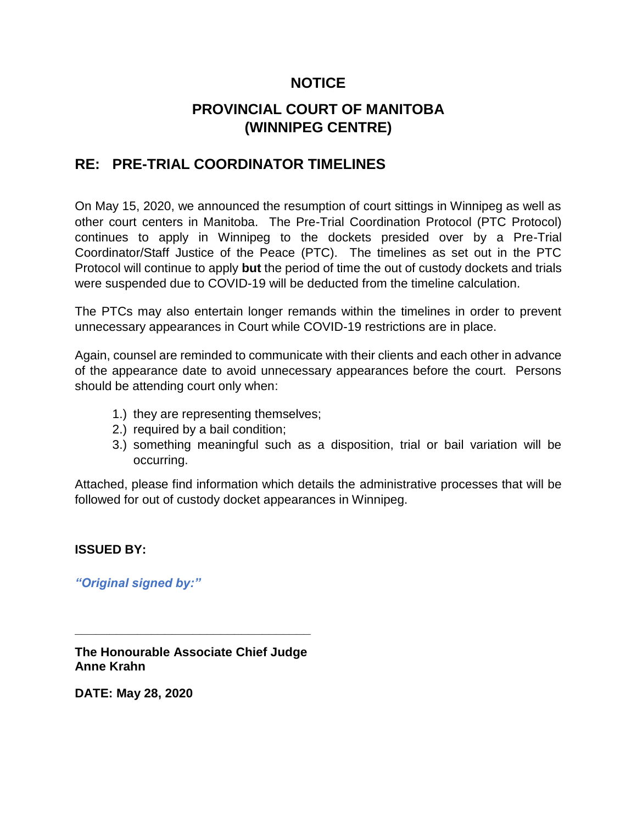# **NOTICE**

# **PROVINCIAL COURT OF MANITOBA (WINNIPEG CENTRE)**

# **RE: PRE-TRIAL COORDINATOR TIMELINES**

On May 15, 2020, we announced the resumption of court sittings in Winnipeg as well as other court centers in Manitoba. The Pre-Trial Coordination Protocol (PTC Protocol) continues to apply in Winnipeg to the dockets presided over by a Pre-Trial Coordinator/Staff Justice of the Peace (PTC). The timelines as set out in the PTC Protocol will continue to apply **but** the period of time the out of custody dockets and trials were suspended due to COVID-19 will be deducted from the timeline calculation.

The PTCs may also entertain longer remands within the timelines in order to prevent unnecessary appearances in Court while COVID-19 restrictions are in place.

Again, counsel are reminded to communicate with their clients and each other in advance of the appearance date to avoid unnecessary appearances before the court. Persons should be attending court only when:

- 1.) they are representing themselves;
- 2.) required by a bail condition;
- 3.) something meaningful such as a disposition, trial or bail variation will be occurring.

Attached, please find information which details the administrative processes that will be followed for out of custody docket appearances in Winnipeg.

#### **ISSUED BY:**

*"Original signed by:"*

**The Honourable Associate Chief Judge Anne Krahn**

**\_\_\_\_\_\_\_\_\_\_\_\_\_\_\_\_\_\_\_\_\_\_\_\_\_\_\_\_\_\_\_\_\_\_**

**DATE: May 28, 2020**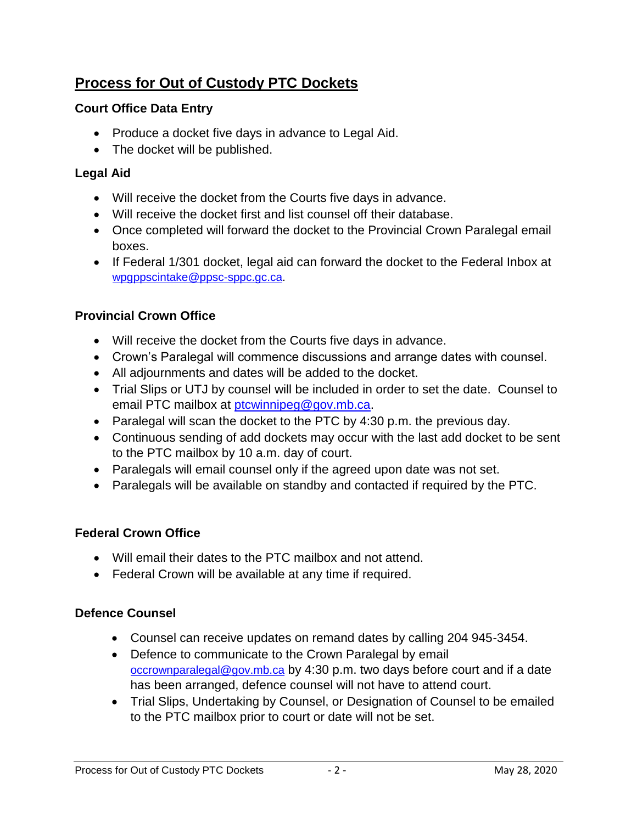# **Process for Out of Custody PTC Dockets**

### **Court Office Data Entry**

- Produce a docket five days in advance to Legal Aid.
- The docket will be published.

# **Legal Aid**

- Will receive the docket from the Courts five days in advance.
- Will receive the docket first and list counsel off their database.
- Once completed will forward the docket to the Provincial Crown Paralegal email boxes.
- If Federal 1/301 docket, legal aid can forward the docket to the Federal Inbox at [wpgppscintake@ppsc-sppc.gc.ca.](mailto:wpgppscintake@ppsc-sppc.gc.ca)

### **Provincial Crown Office**

- Will receive the docket from the Courts five days in advance.
- Crown's Paralegal will commence discussions and arrange dates with counsel.
- All adjournments and dates will be added to the docket.
- Trial Slips or UTJ by counsel will be included in order to set the date. Counsel to email PTC mailbox at *ptcwinnipeg@gov.mb.ca.*
- Paralegal will scan the docket to the PTC by  $4:30$  p.m. the previous day.
- Continuous sending of add dockets may occur with the last add docket to be sent to the PTC mailbox by 10 a.m. day of court.
- Paralegals will email counsel only if the agreed upon date was not set.
- Paralegals will be available on standby and contacted if required by the PTC.

#### **Federal Crown Office**

- Will email their dates to the PTC mailbox and not attend.
- Federal Crown will be available at any time if required.

#### **Defence Counsel**

- Counsel can receive updates on remand dates by calling 204 945-3454.
- Defence to communicate to the Crown Paralegal by email [occrownparalegal@gov.mb.ca](mailto:occrownparalegal@gov.mb.ca) by 4:30 p.m. two days before court and if a date has been arranged, defence counsel will not have to attend court.
- Trial Slips, Undertaking by Counsel, or Designation of Counsel to be emailed to the PTC mailbox prior to court or date will not be set.